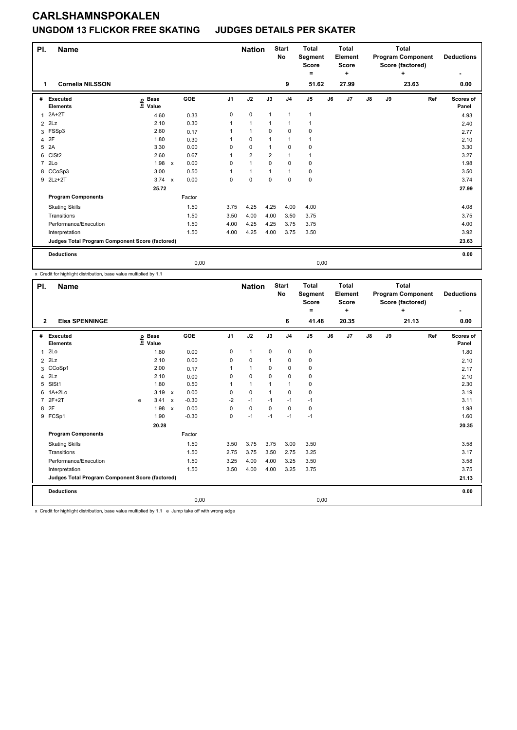#### **UNGDOM 13 FLICKOR FREE SKATING JUDGES DETAILS PER SKATER**

| PI.            | <b>Name</b>                                     |                                  |                      |                | <b>Nation</b>  |                | <b>Start</b><br><b>No</b> | <b>Total</b><br>Segment<br><b>Score</b><br>۰ |    | <b>Total</b><br><b>Element</b><br><b>Score</b><br>÷ |               |    | <b>Total</b><br><b>Program Component</b><br>Score (factored)<br>÷ | <b>Deductions</b>  |
|----------------|-------------------------------------------------|----------------------------------|----------------------|----------------|----------------|----------------|---------------------------|----------------------------------------------|----|-----------------------------------------------------|---------------|----|-------------------------------------------------------------------|--------------------|
| 1              | <b>Cornelia NILSSON</b>                         |                                  |                      |                |                |                | 9                         | 51.62                                        |    | 27.99                                               |               |    | 23.63                                                             | 0.00               |
| #              | Executed<br><b>Elements</b>                     | <b>Base</b><br>e Base<br>⊆ Value | GOE                  | J <sub>1</sub> | J2             | J3             | J <sub>4</sub>            | J <sub>5</sub>                               | J6 | J7                                                  | $\mathsf{J}8$ | J9 | Ref                                                               | Scores of<br>Panel |
| 1              | $2A+2T$                                         | 4.60                             | 0.33                 | 0              | 0              | $\mathbf{1}$   | $\mathbf{1}$              | 1                                            |    |                                                     |               |    |                                                                   | 4.93               |
| $\overline{2}$ | 2Lz                                             | 2.10                             | 0.30                 |                | 1              | 1              | $\mathbf{1}$              | 1                                            |    |                                                     |               |    |                                                                   | 2.40               |
| 3              | FSSp3                                           | 2.60                             | 0.17                 |                | $\mathbf{1}$   | $\mathbf 0$    | $\mathbf 0$               | $\mathbf 0$                                  |    |                                                     |               |    |                                                                   | 2.77               |
| 4              | 2F                                              | 1.80                             | 0.30                 |                | $\mathbf 0$    | 1              | $\mathbf{1}$              | $\mathbf 1$                                  |    |                                                     |               |    |                                                                   | 2.10               |
| 5              | 2A                                              | 3.30                             | 0.00                 | 0              | $\mathbf 0$    | 1              | $\mathbf 0$               | 0                                            |    |                                                     |               |    |                                                                   | 3.30               |
| 6              | CiSt <sub>2</sub>                               | 2.60                             | 0.67                 |                | $\overline{2}$ | $\overline{2}$ | $\mathbf{1}$              | 1                                            |    |                                                     |               |    |                                                                   | 3.27               |
| $\overline{7}$ | 2Lo                                             | 1.98                             | 0.00<br>$\mathsf{x}$ | 0              | $\mathbf{1}$   | $\Omega$       | $\mathbf 0$               | $\mathbf 0$                                  |    |                                                     |               |    |                                                                   | 1.98               |
|                | 8 CCoSp3                                        | 3.00                             | 0.50                 |                | 1              | $\mathbf{1}$   | $\mathbf{1}$              | 0                                            |    |                                                     |               |    |                                                                   | 3.50               |
|                | 9 2Lz+2T                                        | $3.74 \times$                    | 0.00                 | $\mathbf 0$    | $\mathbf 0$    | $\mathbf 0$    | $\mathbf 0$               | $\pmb{0}$                                    |    |                                                     |               |    |                                                                   | 3.74               |
|                |                                                 | 25.72                            |                      |                |                |                |                           |                                              |    |                                                     |               |    |                                                                   | 27.99              |
|                | <b>Program Components</b>                       |                                  | Factor               |                |                |                |                           |                                              |    |                                                     |               |    |                                                                   |                    |
|                | <b>Skating Skills</b>                           |                                  | 1.50                 | 3.75           | 4.25           | 4.25           | 4.00                      | 4.00                                         |    |                                                     |               |    |                                                                   | 4.08               |
|                | Transitions                                     |                                  | 1.50                 | 3.50           | 4.00           | 4.00           | 3.50                      | 3.75                                         |    |                                                     |               |    |                                                                   | 3.75               |
|                | Performance/Execution                           |                                  | 1.50                 | 4.00           | 4.25           | 4.25           | 3.75                      | 3.75                                         |    |                                                     |               |    |                                                                   | 4.00               |
|                | Interpretation                                  |                                  | 1.50                 | 4.00           | 4.25           | 4.00           | 3.75                      | 3.50                                         |    |                                                     |               |    |                                                                   | 3.92               |
|                | Judges Total Program Component Score (factored) |                                  |                      |                |                |                |                           |                                              |    |                                                     |               |    |                                                                   | 23.63              |
|                | <b>Deductions</b>                               |                                  |                      |                |                |                |                           |                                              |    |                                                     |               |    |                                                                   | 0.00               |
|                |                                                 |                                  | 0,00                 |                |                |                |                           | 0,00                                         |    |                                                     |               |    |                                                                   |                    |

x Credit for highlight distribution, base value multiplied by 1.1

| PI.            | <b>Name</b>                                                                                                   |   |                      |         |                                            | <b>Nation</b> |             | <b>Start</b><br>No | <b>Total</b><br><b>Segment</b><br><b>Score</b><br>۰ |    | <b>Total</b><br>Element<br><b>Score</b><br>÷ | <b>Total</b><br><b>Program Component</b><br>Score (factored)<br>÷ |    |       |     | <b>Deductions</b>  |
|----------------|---------------------------------------------------------------------------------------------------------------|---|----------------------|---------|--------------------------------------------|---------------|-------------|--------------------|-----------------------------------------------------|----|----------------------------------------------|-------------------------------------------------------------------|----|-------|-----|--------------------|
| $\mathbf{2}$   | <b>Elsa SPENNINGE</b>                                                                                         |   |                      |         |                                            |               |             | 6                  | 41.48                                               |    | 20.35                                        |                                                                   |    | 21.13 |     | 0.00               |
|                | # Executed<br><b>Elements</b>                                                                                 | e | <b>Base</b><br>Value | GOE     | J <sub>1</sub>                             | J2            | J3          | J <sub>4</sub>     | J5                                                  | J6 | J7                                           | ${\sf J8}$                                                        | J9 |       | Ref | Scores of<br>Panel |
| $\mathbf{1}$   | 2Lo                                                                                                           |   | 1.80                 | 0.00    | 0                                          | 1             | $\mathbf 0$ | $\mathbf 0$        | 0                                                   |    |                                              |                                                                   |    |       |     | 1.80               |
| $\overline{2}$ | 2Lz                                                                                                           |   | 2.10                 | 0.00    | 0                                          | 0             | 1           | $\mathbf 0$        | 0                                                   |    |                                              |                                                                   |    |       |     | 2.10               |
|                | 3 CCoSp1                                                                                                      |   | 2.00                 | 0.17    |                                            | 1             | 0           | $\mathbf 0$        | 0                                                   |    |                                              |                                                                   |    |       |     | 2.17               |
|                | $4$ $2Lz$                                                                                                     |   | 2.10                 | 0.00    | 0                                          | 0             | 0           | $\mathbf 0$        | 0                                                   |    |                                              |                                                                   |    |       |     | 2.10               |
| 5              | SISt1                                                                                                         |   | 1.80                 | 0.50    |                                            | 1             | 1           | $\mathbf{1}$       | 0                                                   |    |                                              |                                                                   |    |       |     | 2.30               |
| 6              | 1A+2Lo                                                                                                        |   | $3.19 \times$        | 0.00    | $\Omega$                                   | 0             | 1           | $\mathbf 0$        | 0                                                   |    |                                              |                                                                   |    |       |     | 3.19               |
| $7^{\circ}$    | $2F+2T$                                                                                                       | e | 3.41 x               | $-0.30$ | $-2$                                       | $-1$          | $-1$        | $-1$               | $-1$                                                |    |                                              |                                                                   |    |       |     | 3.11               |
|                | 8 2F                                                                                                          |   | 1.98 x               | 0.00    | 0                                          | 0             | $\Omega$    | $\mathbf 0$        | 0                                                   |    |                                              |                                                                   |    |       |     | 1.98               |
|                | 9 FCSp1                                                                                                       |   | 1.90                 | $-0.30$ | 0                                          | $-1$          | $-1$        | $-1$               | $-1$                                                |    |                                              |                                                                   |    |       |     | 1.60               |
|                |                                                                                                               |   | 20.28                |         |                                            |               |             |                    |                                                     |    |                                              |                                                                   |    |       |     | 20.35              |
|                | <b>Program Components</b>                                                                                     |   |                      | Factor  |                                            |               |             |                    |                                                     |    |                                              |                                                                   |    |       |     |                    |
|                | <b>Skating Skills</b>                                                                                         |   |                      | 1.50    | 3.50                                       | 3.75          | 3.75        | 3.00               | 3.50                                                |    |                                              |                                                                   |    |       |     | 3.58               |
|                | Transitions                                                                                                   |   |                      | 1.50    | 2.75                                       | 3.75          | 3.50        | 2.75               | 3.25                                                |    |                                              |                                                                   |    |       |     | 3.17               |
|                | Performance/Execution                                                                                         |   |                      | 1.50    | 3.25                                       | 4.00          | 4.00        | 3.25               | 3.50                                                |    |                                              |                                                                   |    |       |     | 3.58               |
|                | Interpretation                                                                                                |   |                      | 1.50    | 3.50                                       | 4.00          | 4.00        | 3.25               | 3.75                                                |    |                                              |                                                                   |    |       |     | 3.75               |
|                | Judges Total Program Component Score (factored)                                                               |   |                      |         |                                            |               |             |                    |                                                     |    |                                              |                                                                   |    |       |     | 21.13              |
|                | <b>Deductions</b>                                                                                             |   |                      |         |                                            |               |             |                    |                                                     |    |                                              |                                                                   |    |       |     | 0.00               |
|                |                                                                                                               |   |                      | 0,00    |                                            |               |             |                    | 0,00                                                |    |                                              |                                                                   |    |       |     |                    |
|                | A de concerto de la contrata de la concerta de la concerta de la concerta de la concerta de la concerta de la |   |                      |         | <b>Contract Contract Contract Contract</b> |               |             |                    |                                                     |    |                                              |                                                                   |    |       |     |                    |

x Credit for highlight distribution, base value multiplied by 1.1 e Jump take off with wrong edge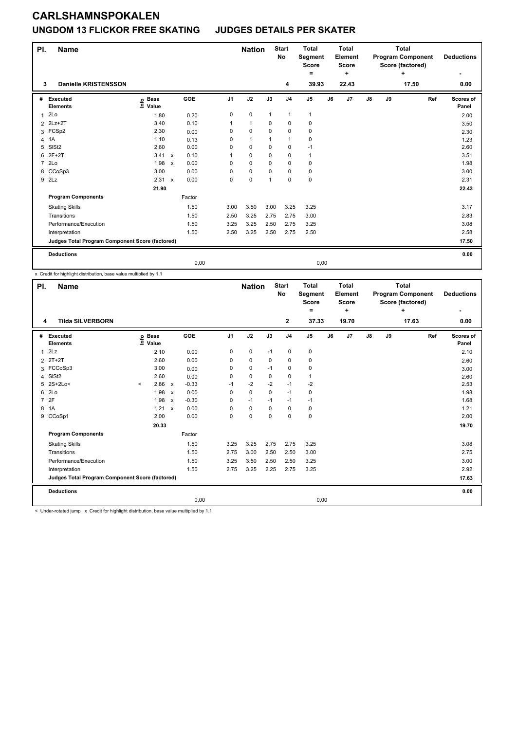### **UNGDOM 13 FLICKOR FREE SKATING JUDGES DETAILS PER SKATER**

| PI.            | Name                                            |                                  |              |      |                | <b>Nation</b> |              | <b>Start</b><br><b>No</b> | <b>Total</b><br>Segment<br><b>Score</b><br>۰ |    | <b>Total</b><br>Element<br><b>Score</b><br>÷ |    |    | <b>Total</b><br><b>Program Component</b><br>Score (factored)<br>÷ | <b>Deductions</b>         |
|----------------|-------------------------------------------------|----------------------------------|--------------|------|----------------|---------------|--------------|---------------------------|----------------------------------------------|----|----------------------------------------------|----|----|-------------------------------------------------------------------|---------------------------|
| 3              | <b>Danielle KRISTENSSON</b>                     |                                  |              |      |                |               |              | 4                         | 39.93                                        |    | 22.43                                        |    |    | 17.50                                                             | 0.00                      |
| #              | Executed<br><b>Elements</b>                     | <b>Base</b><br>e Base<br>⊑ Value | GOE          |      | J <sub>1</sub> | J2            | J3           | J <sub>4</sub>            | J <sub>5</sub>                               | J6 | J7                                           | J8 | J9 | Ref                                                               | <b>Scores of</b><br>Panel |
| 1              | 2Lo                                             | 1.80                             |              | 0.20 | 0              | $\mathbf 0$   | $\mathbf{1}$ | $\mathbf{1}$              | $\mathbf{1}$                                 |    |                                              |    |    |                                                                   | 2.00                      |
|                | 2 2Lz+2T                                        | 3.40                             |              | 0.10 |                | $\mathbf{1}$  | 0            | 0                         | 0                                            |    |                                              |    |    |                                                                   | 3.50                      |
|                | 3 FCSp2                                         | 2.30                             |              | 0.00 | 0              | $\mathbf 0$   | $\Omega$     | $\mathbf 0$               | 0                                            |    |                                              |    |    |                                                                   | 2.30                      |
| 4              | 1A                                              | 1.10                             |              | 0.13 | 0              | $\mathbf{1}$  | 1            | $\mathbf{1}$              | $\mathbf 0$                                  |    |                                              |    |    |                                                                   | 1.23                      |
| 5              | SISt <sub>2</sub>                               | 2.60                             |              | 0.00 | 0              | $\mathbf 0$   | $\mathbf 0$  | $\mathbf 0$               | $-1$                                         |    |                                              |    |    |                                                                   | 2.60                      |
| 6              | $2F+2T$                                         | 3.41                             | $\mathsf{x}$ | 0.10 |                | $\mathbf 0$   | $\Omega$     | $\mathbf 0$               | $\mathbf{1}$                                 |    |                                              |    |    |                                                                   | 3.51                      |
| $\overline{7}$ | 2Lo                                             | 1.98                             | $\mathsf{x}$ | 0.00 | 0              | $\mathbf 0$   | $\Omega$     | $\mathbf 0$               | $\mathbf 0$                                  |    |                                              |    |    |                                                                   | 1.98                      |
|                | 8 CCoSp3                                        | 3.00                             |              | 0.00 | 0              | $\mathbf 0$   | $\mathbf 0$  | $\mathbf 0$               | $\mathbf 0$                                  |    |                                              |    |    |                                                                   | 3.00                      |
|                | 9 2Lz                                           | 2.31                             | $\mathsf{x}$ | 0.00 | 0              | $\pmb{0}$     | $\mathbf{1}$ | $\mathbf 0$               | $\pmb{0}$                                    |    |                                              |    |    |                                                                   | 2.31                      |
|                |                                                 | 21.90                            |              |      |                |               |              |                           |                                              |    |                                              |    |    |                                                                   | 22.43                     |
|                | <b>Program Components</b>                       |                                  | Factor       |      |                |               |              |                           |                                              |    |                                              |    |    |                                                                   |                           |
|                | <b>Skating Skills</b>                           |                                  |              | 1.50 | 3.00           | 3.50          | 3.00         | 3.25                      | 3.25                                         |    |                                              |    |    |                                                                   | 3.17                      |
|                | Transitions                                     |                                  |              | 1.50 | 2.50           | 3.25          | 2.75         | 2.75                      | 3.00                                         |    |                                              |    |    |                                                                   | 2.83                      |
|                | Performance/Execution                           |                                  |              | 1.50 | 3.25           | 3.25          | 2.50         | 2.75                      | 3.25                                         |    |                                              |    |    |                                                                   | 3.08                      |
|                | Interpretation                                  |                                  |              | 1.50 | 2.50           | 3.25          | 2.50         | 2.75                      | 2.50                                         |    |                                              |    |    |                                                                   | 2.58                      |
|                | Judges Total Program Component Score (factored) |                                  |              |      |                |               |              |                           |                                              |    |                                              |    |    |                                                                   | 17.50                     |
|                | <b>Deductions</b>                               |                                  |              |      |                |               |              |                           |                                              |    |                                              |    |    |                                                                   | 0.00                      |
|                |                                                 |                                  |              | 0,00 |                |               |              |                           | 0,00                                         |    |                                              |    |    |                                                                   |                           |

x Credit for highlight distribution, base value multiplied by 1.1

| PI.            | <b>Name</b>                                     |          |                      | <b>Nation</b> |         | <b>Start</b><br>No | <b>Total</b><br>Segment<br><b>Score</b><br>۰ |             | <b>Total</b><br>Element<br><b>Score</b><br>÷ |       |    | <b>Total</b><br><b>Program Component</b><br>Score (factored)<br>÷ |    | <b>Deductions</b> |       |     |                    |
|----------------|-------------------------------------------------|----------|----------------------|---------------|---------|--------------------|----------------------------------------------|-------------|----------------------------------------------|-------|----|-------------------------------------------------------------------|----|-------------------|-------|-----|--------------------|
| 4              | <b>Tilda SILVERBORN</b>                         |          |                      |               |         |                    |                                              |             | $\mathbf 2$                                  | 37.33 |    | 19.70                                                             |    |                   | 17.63 |     | 0.00               |
| #              | Executed<br><b>Elements</b>                     | ١nf٥     | <b>Base</b><br>Value |               | GOE     | J <sub>1</sub>     | J2                                           | J3          | J <sub>4</sub>                               | J5    | J6 | J <sub>7</sub>                                                    | J8 | J9                |       | Ref | Scores of<br>Panel |
| $\mathbf{1}$   | 2Lz                                             |          | 2.10                 |               | 0.00    | 0                  | 0                                            | $-1$        | $\mathbf 0$                                  | 0     |    |                                                                   |    |                   |       |     | 2.10               |
| $\overline{2}$ | $2T+2T$                                         |          | 2.60                 |               | 0.00    | 0                  | 0                                            | 0           | 0                                            | 0     |    |                                                                   |    |                   |       |     | 2.60               |
|                | 3 FCCoSp3                                       |          | 3.00                 |               | 0.00    | $\Omega$           | 0                                            | $-1$        | 0                                            | 0     |    |                                                                   |    |                   |       |     | 3.00               |
|                | 4 SISt2                                         |          | 2.60                 |               | 0.00    | 0                  | 0                                            | 0           | 0                                            | 1     |    |                                                                   |    |                   |       |     | 2.60               |
|                | 5 2S+2Lo<                                       | $\hat{}$ | 2.86                 | $\mathsf{x}$  | $-0.33$ | $-1$               | $-2$                                         | $-2$        | $-1$                                         | $-2$  |    |                                                                   |    |                   |       |     | 2.53               |
|                | 6 2Lo                                           |          | 1.98 x               |               | 0.00    | $\Omega$           | 0                                            | $\Omega$    | $-1$                                         | 0     |    |                                                                   |    |                   |       |     | 1.98               |
|                | 7 2F                                            |          | 1.98 x               |               | $-0.30$ | 0                  | $-1$                                         | $-1$        | $-1$                                         | $-1$  |    |                                                                   |    |                   |       |     | 1.68               |
|                | 8 1A                                            |          | 1.21 x               |               | 0.00    | 0                  | 0                                            | $\mathbf 0$ | 0                                            | 0     |    |                                                                   |    |                   |       |     | 1.21               |
|                | 9 CCoSp1                                        |          | 2.00                 |               | 0.00    | $\Omega$           | 0                                            | $\Omega$    | 0                                            | 0     |    |                                                                   |    |                   |       |     | 2.00               |
|                |                                                 |          | 20.33                |               |         |                    |                                              |             |                                              |       |    |                                                                   |    |                   |       |     | 19.70              |
|                | <b>Program Components</b>                       |          |                      |               | Factor  |                    |                                              |             |                                              |       |    |                                                                   |    |                   |       |     |                    |
|                | <b>Skating Skills</b>                           |          |                      |               | 1.50    | 3.25               | 3.25                                         | 2.75        | 2.75                                         | 3.25  |    |                                                                   |    |                   |       |     | 3.08               |
|                | Transitions                                     |          |                      |               | 1.50    | 2.75               | 3.00                                         | 2.50        | 2.50                                         | 3.00  |    |                                                                   |    |                   |       |     | 2.75               |
|                | Performance/Execution                           |          |                      |               | 1.50    | 3.25               | 3.50                                         | 2.50        | 2.50                                         | 3.25  |    |                                                                   |    |                   |       |     | 3.00               |
|                | Interpretation                                  |          |                      |               | 1.50    | 2.75               | 3.25                                         | 2.25        | 2.75                                         | 3.25  |    |                                                                   |    |                   |       |     | 2.92               |
|                | Judges Total Program Component Score (factored) |          |                      |               |         |                    |                                              |             |                                              |       |    |                                                                   |    |                   |       |     | 17.63              |
|                | <b>Deductions</b>                               |          |                      |               |         |                    |                                              |             |                                              |       |    |                                                                   |    |                   |       |     | 0.00               |
|                |                                                 |          |                      |               | 0,00    |                    |                                              |             |                                              | 0,00  |    |                                                                   |    |                   |       |     |                    |
|                |                                                 |          |                      |               |         |                    |                                              |             |                                              |       |    |                                                                   |    |                   |       |     |                    |

< Under-rotated jump x Credit for highlight distribution, base value multiplied by 1.1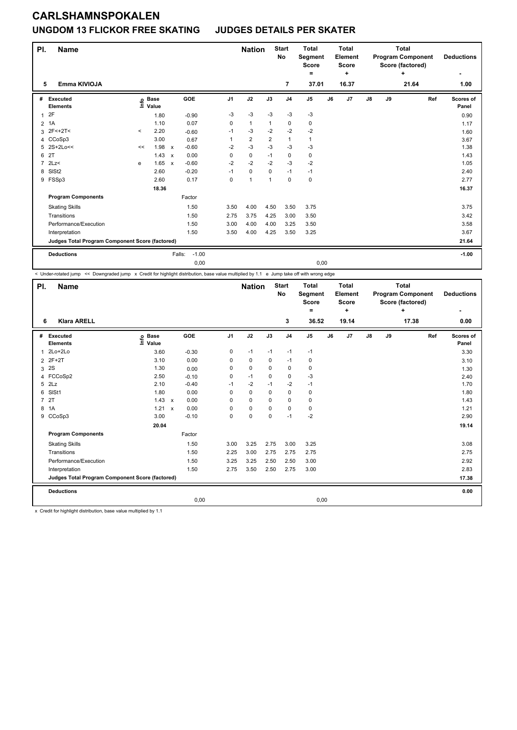#### **UNGDOM 13 FLICKOR FREE SKATING JUDGES DETAILS PER SKATER**

| PI.            | <b>Name</b>                                     |         |                      | <b>Nation</b>           |         | <b>Start</b><br>No | <b>Total</b><br>Segment<br><b>Score</b><br>۰ |                | Total<br>Element<br><b>Score</b><br>÷ |                |    | Total<br><b>Program Component</b><br>Score (factored)<br>٠ | <b>Deductions</b> |    |       |                    |
|----------------|-------------------------------------------------|---------|----------------------|-------------------------|---------|--------------------|----------------------------------------------|----------------|---------------------------------------|----------------|----|------------------------------------------------------------|-------------------|----|-------|--------------------|
| 5              | Emma KIVIOJA                                    |         |                      |                         |         |                    |                                              |                | 7                                     | 37.01          |    | 16.37                                                      |                   |    | 21.64 | 1.00               |
| #              | Executed<br><b>Elements</b>                     | ۴۵      | <b>Base</b><br>Value | GOE                     |         | J <sub>1</sub>     | J2                                           | J3             | J <sub>4</sub>                        | J <sub>5</sub> | J6 | J7                                                         | J8                | J9 | Ref   | Scores of<br>Panel |
| $\mathbf{1}$   | 2F                                              |         | 1.80                 | $-0.90$                 |         | $-3$               | $-3$                                         | $-3$           | $-3$                                  | $-3$           |    |                                                            |                   |    |       | 0.90               |
| $\overline{2}$ | 1A                                              |         | 1.10                 |                         | 0.07    | 0                  | $\mathbf{1}$                                 | 1              | 0                                     | 0              |    |                                                            |                   |    |       | 1.17               |
| 3              | 2F<+2T<                                         | $\prec$ | 2.20                 | $-0.60$                 |         | $-1$               | $-3$                                         | $-2$           | $-2$                                  | $-2$           |    |                                                            |                   |    |       | 1.60               |
|                | 4 CCoSp3                                        |         | 3.00                 |                         | 0.67    |                    | $\overline{\mathbf{c}}$                      | $\overline{2}$ | $\mathbf{1}$                          | 1              |    |                                                            |                   |    |       | 3.67               |
| 5              | 2S+2Lo<<                                        | <<      | 1.98                 | $-0.60$<br>$\mathsf{x}$ |         | $-2$               | $-3$                                         | $-3$           | $-3$                                  | $-3$           |    |                                                            |                   |    |       | 1.38               |
| 6              | 2T                                              |         | $1.43 \times$        |                         | 0.00    | 0                  | $\mathbf 0$                                  | $-1$           | 0                                     | 0              |    |                                                            |                   |    |       | 1.43               |
| $\overline{7}$ | 2Lz                                             | e       | 1.65                 | $-0.60$<br>$\mathsf{x}$ |         | $-2$               | $-2$                                         | $-2$           | $-3$                                  | $-2$           |    |                                                            |                   |    |       | 1.05               |
| 8              | SISt <sub>2</sub>                               |         | 2.60                 | $-0.20$                 |         | $-1$               | $\mathbf 0$                                  | $\mathbf 0$    | $-1$                                  | $-1$           |    |                                                            |                   |    |       | 2.40               |
|                | 9 FSSp3                                         |         | 2.60                 |                         | 0.17    | 0                  | $\mathbf{1}$                                 | 1              | $\mathbf 0$                           | 0              |    |                                                            |                   |    |       | 2.77               |
|                |                                                 |         | 18.36                |                         |         |                    |                                              |                |                                       |                |    |                                                            |                   |    |       | 16.37              |
|                | <b>Program Components</b>                       |         |                      | Factor                  |         |                    |                                              |                |                                       |                |    |                                                            |                   |    |       |                    |
|                | <b>Skating Skills</b>                           |         |                      |                         | 1.50    | 3.50               | 4.00                                         | 4.50           | 3.50                                  | 3.75           |    |                                                            |                   |    |       | 3.75               |
|                | Transitions                                     |         |                      |                         | 1.50    | 2.75               | 3.75                                         | 4.25           | 3.00                                  | 3.50           |    |                                                            |                   |    |       | 3.42               |
|                | Performance/Execution                           |         |                      |                         | 1.50    | 3.00               | 4.00                                         | 4.00           | 3.25                                  | 3.50           |    |                                                            |                   |    |       | 3.58               |
|                | Interpretation                                  |         |                      |                         | 1.50    | 3.50               | 4.00                                         | 4.25           | 3.50                                  | 3.25           |    |                                                            |                   |    |       | 3.67               |
|                | Judges Total Program Component Score (factored) |         |                      |                         |         |                    |                                              |                |                                       |                |    |                                                            |                   |    |       | 21.64              |
|                | <b>Deductions</b>                               |         |                      | Falls:                  | $-1.00$ |                    |                                              |                |                                       |                |    |                                                            |                   |    |       | $-1.00$            |
|                |                                                 |         |                      |                         | 0,00    |                    |                                              |                |                                       | 0,00           |    |                                                            |                   |    |       |                    |

< Under-rotated jump << Downgraded jump x Credit for highlight distribution, base value multiplied by 1.1 e Jump take off with wrong edge

| PI.            | <b>Name</b>                                     |                              |                           | <b>Nation</b> |                | <b>Start</b><br>No | <b>Total</b><br>Segment<br><b>Score</b> |                | <b>Total</b><br>Element<br><b>Score</b> |    |            | <b>Total</b><br><b>Program Component</b><br>Score (factored) |    | <b>Deductions</b> |     |                    |
|----------------|-------------------------------------------------|------------------------------|---------------------------|---------------|----------------|--------------------|-----------------------------------------|----------------|-----------------------------------------|----|------------|--------------------------------------------------------------|----|-------------------|-----|--------------------|
| 6              | <b>Klara ARELL</b>                              |                              |                           |               |                |                    |                                         | 3              | ۰<br>36.52                              |    | ÷<br>19.14 |                                                              |    | ÷<br>17.38        |     | 0.00               |
|                |                                                 |                              |                           |               |                |                    |                                         |                |                                         |    |            |                                                              |    |                   |     |                    |
| #              | <b>Executed</b><br><b>Elements</b>              | <b>Base</b><br>lnfo<br>Value |                           | <b>GOE</b>    | J <sub>1</sub> | J2                 | J3                                      | J <sub>4</sub> | J <sub>5</sub>                          | J6 | J7         | $\mathsf{J}8$                                                | J9 |                   | Ref | Scores of<br>Panel |
| 1              | 2Lo+2Lo                                         | 3.60                         |                           | $-0.30$       | 0              | $-1$               | $-1$                                    | $-1$           | $-1$                                    |    |            |                                                              |    |                   |     | 3.30               |
|                | 2 2F+2T                                         | 3.10                         |                           | 0.00          | 0              | $\mathbf 0$        | 0                                       | $-1$           | 0                                       |    |            |                                                              |    |                   |     | 3.10               |
| 3              | 2S                                              | 1.30                         |                           | 0.00          | 0              | 0                  | 0                                       | 0              | 0                                       |    |            |                                                              |    |                   |     | 1.30               |
|                | 4 FCCoSp2                                       | 2.50                         |                           | $-0.10$       | 0              | $-1$               | 0                                       | $\pmb{0}$      | $-3$                                    |    |            |                                                              |    |                   |     | 2.40               |
| 5              | 2Lz                                             | 2.10                         |                           | $-0.40$       | $-1$           | $-2$               | $-1$                                    | $-2$           | $-1$                                    |    |            |                                                              |    |                   |     | 1.70               |
| 6              | SISt1                                           | 1.80                         |                           | 0.00          | 0              | $\mathbf 0$        | 0                                       | $\mathbf 0$    | 0                                       |    |            |                                                              |    |                   |     | 1.80               |
| $\overline{7}$ | 2T                                              | 1.43                         | $\boldsymbol{\mathsf{x}}$ | 0.00          | 0              | $\mathbf 0$        | $\Omega$                                | 0              | 0                                       |    |            |                                                              |    |                   |     | 1.43               |
| 8              | 1A                                              | 1.21                         | $\boldsymbol{\mathsf{x}}$ | 0.00          | 0              | $\mathbf 0$        | 0                                       | $\mathbf 0$    | $\pmb{0}$                               |    |            |                                                              |    |                   |     | 1.21               |
| 9              | CCoSp3                                          | 3.00                         |                           | $-0.10$       | 0              | 0                  | 0                                       | $-1$           | $-2$                                    |    |            |                                                              |    |                   |     | 2.90               |
|                |                                                 | 20.04                        |                           |               |                |                    |                                         |                |                                         |    |            |                                                              |    |                   |     | 19.14              |
|                | <b>Program Components</b>                       |                              |                           | Factor        |                |                    |                                         |                |                                         |    |            |                                                              |    |                   |     |                    |
|                | <b>Skating Skills</b>                           |                              |                           | 1.50          | 3.00           | 3.25               | 2.75                                    | 3.00           | 3.25                                    |    |            |                                                              |    |                   |     | 3.08               |
|                | Transitions                                     |                              |                           | 1.50          | 2.25           | 3.00               | 2.75                                    | 2.75           | 2.75                                    |    |            |                                                              |    |                   |     | 2.75               |
|                | Performance/Execution                           |                              |                           | 1.50          | 3.25           | 3.25               | 2.50                                    | 2.50           | 3.00                                    |    |            |                                                              |    |                   |     | 2.92               |
|                | Interpretation                                  |                              |                           | 1.50          | 2.75           | 3.50               | 2.50                                    | 2.75           | 3.00                                    |    |            |                                                              |    |                   |     | 2.83               |
|                | Judges Total Program Component Score (factored) |                              |                           |               |                |                    |                                         |                |                                         |    |            |                                                              |    |                   |     | 17.38              |
|                | <b>Deductions</b>                               |                              |                           |               |                |                    |                                         |                |                                         |    |            |                                                              |    |                   |     | 0.00               |
|                |                                                 |                              |                           | 0,00          |                |                    |                                         |                | 0,00                                    |    |            |                                                              |    |                   |     |                    |
|                |                                                 |                              |                           |               |                |                    |                                         |                |                                         |    |            |                                                              |    |                   |     |                    |

x Credit for highlight distribution, base value multiplied by 1.1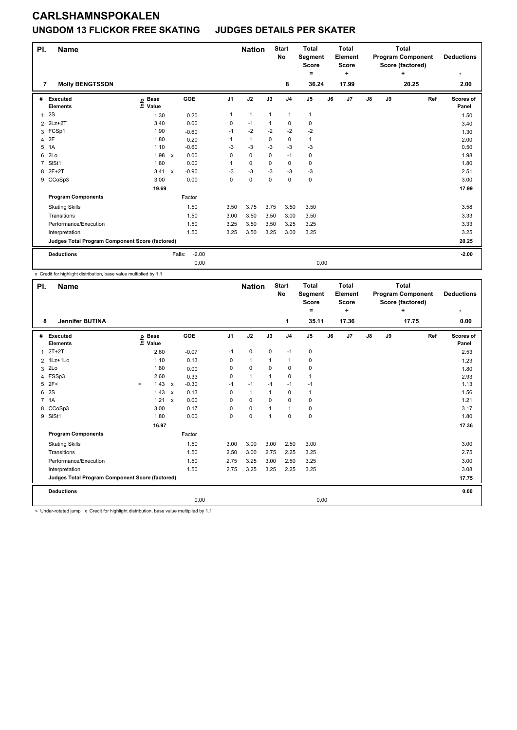#### **UNGDOM 13 FLICKOR FREE SKATING JUDGES DETAILS PER SKATER**

| PI.            | Name                                            |                              |              |         |                | <b>Nation</b> |              | <b>Start</b><br>No | <b>Total</b><br>Segment<br>Score<br>۰ |    | <b>Total</b><br>Element<br><b>Score</b><br>÷ |    |    | <b>Total</b><br><b>Program Component</b><br>Score (factored)<br>÷ | <b>Deductions</b>  |
|----------------|-------------------------------------------------|------------------------------|--------------|---------|----------------|---------------|--------------|--------------------|---------------------------------------|----|----------------------------------------------|----|----|-------------------------------------------------------------------|--------------------|
| 7              | <b>Molly BENGTSSON</b>                          |                              |              |         |                |               |              | 8                  | 36.24                                 |    | 17.99                                        |    |    | 20.25                                                             | 2.00               |
| #              | Executed<br><b>Elements</b>                     | <b>Base</b><br>lnfo<br>Value |              | GOE     | J <sub>1</sub> | J2            | J3           | J <sub>4</sub>     | J <sub>5</sub>                        | J6 | J <sub>7</sub>                               | J8 | J9 | Ref                                                               | Scores of<br>Panel |
| $\mathbf{1}$   | 2S                                              | 1.30                         |              | 0.20    | $\mathbf{1}$   | $\mathbf{1}$  | $\mathbf{1}$ | $\mathbf{1}$       | $\mathbf{1}$                          |    |                                              |    |    |                                                                   | 1.50               |
|                | 2 2Lz+2T                                        | 3.40                         |              | 0.00    | 0              | $-1$          | $\mathbf{1}$ | 0                  | $\pmb{0}$                             |    |                                              |    |    |                                                                   | 3.40               |
|                | 3 FCSp1                                         | 1.90                         |              | $-0.60$ | $-1$           | $-2$          | $-2$         | $-2$               | $-2$                                  |    |                                              |    |    |                                                                   | 1.30               |
| 4              | 2F                                              | 1.80                         |              | 0.20    | 1              | $\mathbf{1}$  | $\Omega$     | $\mathbf 0$        | $\mathbf{1}$                          |    |                                              |    |    |                                                                   | 2.00               |
| 5              | 1A                                              | 1.10                         |              | $-0.60$ | $-3$           | $-3$          | $-3$         | $-3$               | $-3$                                  |    |                                              |    |    |                                                                   | 0.50               |
| 6              | 2 <sub>LO</sub>                                 | 1.98                         | $\mathsf{x}$ | 0.00    | $\Omega$       | $\Omega$      | $\Omega$     | $-1$               | $\mathbf 0$                           |    |                                              |    |    |                                                                   | 1.98               |
| $\overline{7}$ | SISt1                                           | 1.80                         |              | 0.00    | 1              | $\mathbf 0$   | 0            | $\mathbf 0$        | 0                                     |    |                                              |    |    |                                                                   | 1.80               |
|                | 8 2F+2T                                         | 3.41                         | $\mathsf{x}$ | $-0.90$ | -3             | $-3$          | $-3$         | -3                 | $-3$                                  |    |                                              |    |    |                                                                   | 2.51               |
|                | 9 CCoSp3                                        | 3.00                         |              | 0.00    | $\Omega$       | $\mathbf 0$   | $\Omega$     | $\mathbf 0$        | $\pmb{0}$                             |    |                                              |    |    |                                                                   | 3.00               |
|                |                                                 | 19.69                        |              |         |                |               |              |                    |                                       |    |                                              |    |    |                                                                   | 17.99              |
|                | <b>Program Components</b>                       |                              |              | Factor  |                |               |              |                    |                                       |    |                                              |    |    |                                                                   |                    |
|                | <b>Skating Skills</b>                           |                              |              | 1.50    | 3.50           | 3.75          | 3.75         | 3.50               | 3.50                                  |    |                                              |    |    |                                                                   | 3.58               |
|                | Transitions                                     |                              |              | 1.50    | 3.00           | 3.50          | 3.50         | 3.00               | 3.50                                  |    |                                              |    |    |                                                                   | 3.33               |
|                | Performance/Execution                           |                              |              | 1.50    | 3.25           | 3.50          | 3.50         | 3.25               | 3.25                                  |    |                                              |    |    |                                                                   | 3.33               |
|                | Interpretation                                  |                              |              | 1.50    | 3.25           | 3.50          | 3.25         | 3.00               | 3.25                                  |    |                                              |    |    |                                                                   | 3.25               |
|                | Judges Total Program Component Score (factored) |                              |              |         |                |               |              |                    |                                       |    |                                              |    |    |                                                                   | 20.25              |
|                | <b>Deductions</b>                               |                              | Falls:       | $-2.00$ |                |               |              |                    |                                       |    |                                              |    |    |                                                                   | $-2.00$            |
|                |                                                 |                              |              | 0,00    |                |               |              |                    | 0,00                                  |    |                                              |    |    |                                                                   |                    |

x Credit for highlight distribution, base value multiplied by 1.1

| PI. | <b>Name</b>                                                                                                    |         |                            |              |         |                | <b>Nation</b> |             | <b>Start</b><br><b>No</b> | <b>Total</b><br>Segment<br><b>Score</b><br>۰ |    | <b>Total</b><br>Element<br><b>Score</b><br>÷ |               | <b>Total</b><br><b>Program Component</b><br>Score (factored) |            | <b>Deductions</b> |                    |
|-----|----------------------------------------------------------------------------------------------------------------|---------|----------------------------|--------------|---------|----------------|---------------|-------------|---------------------------|----------------------------------------------|----|----------------------------------------------|---------------|--------------------------------------------------------------|------------|-------------------|--------------------|
| 8   | <b>Jennifer BUTINA</b>                                                                                         |         |                            |              |         |                |               |             | 1                         | 35.11                                        |    | 17.36                                        |               |                                                              | ÷<br>17.75 |                   | 0.00               |
|     | # Executed<br><b>Elements</b>                                                                                  |         | e Base<br>E Value<br>Value |              | GOE     | J <sub>1</sub> | J2            | J3          | J <sub>4</sub>            | J <sub>5</sub>                               | J6 | J7                                           | $\mathsf{J}8$ | J9                                                           |            | Ref               | Scores of<br>Panel |
| 1   | $2T+2T$                                                                                                        |         | 2.60                       |              | $-0.07$ | $-1$           | $\pmb{0}$     | $\mathbf 0$ | $-1$                      | 0                                            |    |                                              |               |                                                              |            |                   | 2.53               |
|     | 2 1Lz+1Lo                                                                                                      |         | 1.10                       |              | 0.13    | 0              | 1             |             | 1                         | 0                                            |    |                                              |               |                                                              |            |                   | 1.23               |
| 3   | 2Lo                                                                                                            |         | 1.80                       |              | 0.00    | 0              | 0             | $\Omega$    | 0                         | 0                                            |    |                                              |               |                                                              |            |                   | 1.80               |
|     | 4 FSSp3                                                                                                        |         | 2.60                       |              | 0.33    | 0              | $\mathbf{1}$  |             | $\mathbf 0$               | 1                                            |    |                                              |               |                                                              |            |                   | 2.93               |
|     | $5$ $2F<$                                                                                                      | $\,<\,$ | 1.43                       | $\mathsf{x}$ | $-0.30$ | $-1$           | $-1$          | $-1$        | $-1$                      | $-1$                                         |    |                                              |               |                                                              |            |                   | 1.13               |
| 6   | <b>2S</b>                                                                                                      |         | $1.43 \times$              |              | 0.13    | 0              | $\mathbf{1}$  |             | 0                         | 1                                            |    |                                              |               |                                                              |            |                   | 1.56               |
|     | 7 1A                                                                                                           |         | 1.21                       | $\mathsf{x}$ | 0.00    | 0              | 0             | 0           | 0                         | 0                                            |    |                                              |               |                                                              |            |                   | 1.21               |
|     | 8 CCoSp3                                                                                                       |         | 3.00                       |              | 0.17    | 0              | 0             |             | $\mathbf{1}$              | 0                                            |    |                                              |               |                                                              |            |                   | 3.17               |
|     | 9 SISt1                                                                                                        |         | 1.80                       |              | 0.00    | 0              | $\mathbf 0$   | 1           | $\mathbf 0$               | 0                                            |    |                                              |               |                                                              |            |                   | 1.80               |
|     |                                                                                                                |         | 16.97                      |              |         |                |               |             |                           |                                              |    |                                              |               |                                                              |            |                   | 17.36              |
|     | <b>Program Components</b>                                                                                      |         |                            |              | Factor  |                |               |             |                           |                                              |    |                                              |               |                                                              |            |                   |                    |
|     | <b>Skating Skills</b>                                                                                          |         |                            |              | 1.50    | 3.00           | 3.00          | 3.00        | 2.50                      | 3.00                                         |    |                                              |               |                                                              |            |                   | 3.00               |
|     | Transitions                                                                                                    |         |                            |              | 1.50    | 2.50           | 3.00          | 2.75        | 2.25                      | 3.25                                         |    |                                              |               |                                                              |            |                   | 2.75               |
|     | Performance/Execution                                                                                          |         |                            |              | 1.50    | 2.75           | 3.25          | 3.00        | 2.50                      | 3.25                                         |    |                                              |               |                                                              |            |                   | 3.00               |
|     | Interpretation                                                                                                 |         |                            |              | 1.50    | 2.75           | 3.25          | 3.25        | 2.25                      | 3.25                                         |    |                                              |               |                                                              |            |                   | 3.08               |
|     | Judges Total Program Component Score (factored)                                                                |         |                            |              |         |                |               |             |                           |                                              |    |                                              |               |                                                              |            |                   | 17.75              |
|     | <b>Deductions</b>                                                                                              |         |                            |              |         |                |               |             |                           |                                              |    |                                              |               |                                                              |            |                   | 0.00               |
|     |                                                                                                                |         |                            |              | 0,00    |                |               |             |                           | 0,00                                         |    |                                              |               |                                                              |            |                   |                    |
|     | a chiada a casasa di Silaya (1991). Que distribuidade de de sale distance de la constitución de distribuidad d |         |                            |              |         |                |               |             |                           |                                              |    |                                              |               |                                                              |            |                   |                    |

er-rotated jump x Credit for highlight distribution, base value multiplied by 1.1